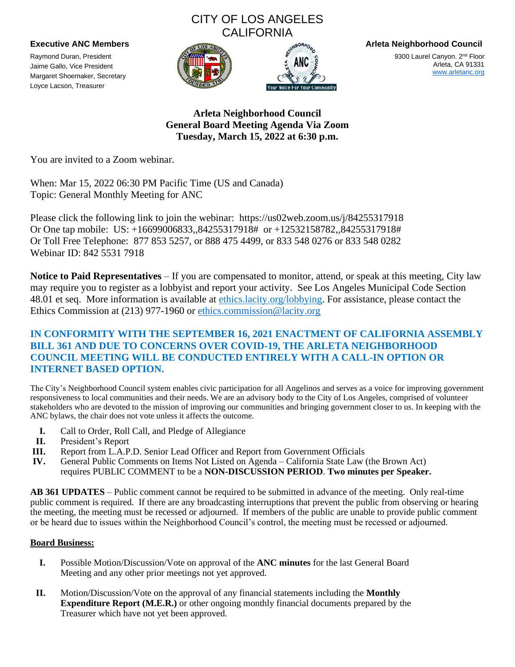# CITY OF LOS ANGELES **CALIFORNIA**

Raymond Duran, President Jaime Gallo, Vice President Margaret Shoemaker, Secretary Loyce Lacson, Treasurer





**Executive ANC Members Arleta Neighborhood Council**

9300 Laurel Canyon. 2<sup>nd</sup> Floor Arleta, CA 91331 [www.arletanc.org](http://www.arletanc.org/)

**Arleta Neighborhood Council General Board Meeting Agenda Via Zoom Tuesday, March 15, 2022 at 6:30 p.m.**

You are invited to a Zoom webinar.

When: Mar 15, 2022 06:30 PM Pacific Time (US and Canada) Topic: General Monthly Meeting for ANC

Please click the following link to join the webinar: https://us02web.zoom.us/j/84255317918 Or One tap mobile: US: +16699006833,,84255317918# or +12532158782,,84255317918# Or Toll Free Telephone: 877 853 5257, or 888 475 4499, or 833 548 0276 or 833 548 0282 Webinar ID: 842 5531 7918

**Notice to Paid Representatives** – If you are compensated to monitor, attend, or speak at this meeting, City law may require you to register as a lobbyist and report your activity. See Los Angeles Municipal Code Section 48.01 et seq. More information is available at ethics.lacity.org/lobbying. For assistance, please contact the Ethics Commission at (213) 977-1960 or [ethics.commission@lacity.org](mailto:ethics.commission@lacity.org)

## **IN CONFORMITY WITH THE SEPTEMBER 16, 2021 ENACTMENT OF CALIFORNIA ASSEMBLY BILL 361 AND DUE TO CONCERNS OVER COVID-19, THE ARLETA NEIGHBORHOOD COUNCIL MEETING WILL BE CONDUCTED ENTIRELY WITH A CALL-IN OPTION OR INTERNET BASED OPTION.**

The City's Neighborhood Council system enables civic participation for all Angelinos and serves as a voice for improving government responsiveness to local communities and their needs. We are an advisory body to the City of Los Angeles, comprised of volunteer stakeholders who are devoted to the mission of improving our communities and bringing government closer to us. In keeping with the ANC bylaws, the chair does not vote unless it affects the outcome.

- **I.** Call to Order, Roll Call, and Pledge of Allegiance
- **II.** President's Report
- **III.** Report from L.A.P.D. Senior Lead Officer and Report from Government Officials
- **IV.** General Public Comments on Items Not Listed on Agenda California State Law (the Brown Act) requires PUBLIC COMMENT to be a **NON-DISCUSSION PERIOD**. **Two minutes per Speaker.**

**AB 361 UPDATES** – Public comment cannot be required to be submitted in advance of the meeting. Only real-time public comment is required. If there are any broadcasting interruptions that prevent the public from observing or hearing the meeting, the meeting must be recessed or adjourned. If members of the public are unable to provide public comment or be heard due to issues within the Neighborhood Council's control, the meeting must be recessed or adjourned.

## **Board Business:**

- **I.** Possible Motion/Discussion/Vote on approval of the **ANC minutes** for the last General Board Meeting and any other prior meetings not yet approved.
- **II.** Motion/Discussion/Vote on the approval of any financial statements including the **Monthly Expenditure Report (M.E.R.)** or other ongoing monthly financial documents prepared by the Treasurer which have not yet been approved.